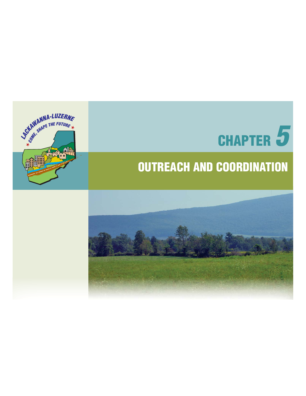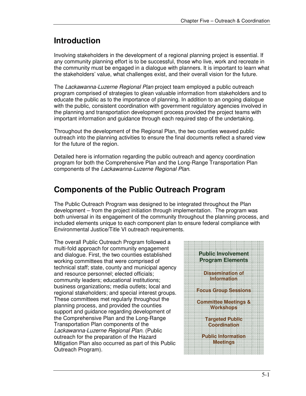#### **Introduction**

Involving stakeholders in the development of a regional planning project is essential. If any community planning effort is to be successful, those who live, work and recreate in the community must be engaged in a dialogue with planners. It is important to learn what the stakeholders' value, what challenges exist, and their overall vision for the future.

The Lackawanna-Luzerne Regional Plan project team employed a public outreach program comprised of strategies to glean valuable information from stakeholders and to educate the public as to the importance of planning. In addition to an ongoing dialogue with the public, consistent coordination with government regulatory agencies involved in the planning and transportation development process provided the project teams with important information and guidance through each required step of the undertaking.

Throughout the development of the Regional Plan, the two counties weaved public outreach into the planning activities to ensure the final documents reflect a shared view for the future of the region.

Detailed here is information regarding the public outreach and agency coordination program for both the Comprehensive Plan and the Long-Range Transportation Plan components of the Lackawanna-Luzerne Regional Plan.

## **Components of the Public Outreach Program**

The Public Outreach Program was designed to be integrated throughout the Plan development – from the project initiation through implementation. The program was both universal in its engagement of the community throughout the planning process, and included elements unique to each component plan to ensure federal compliance with Environmental Justice/Title VI outreach requirements.

The overall Public Outreach Program followed a multi-fold approach for community engagement and dialogue. First, the two counties established working committees that were comprised of technical staff; state, county and municipal agency and resource personnel; elected officials; community leaders; educational institutions; business organizations; media outlets; local and regional stakeholders; and special interest groups. These committees met regularly throughout the planning process, and provided the counties support and guidance regarding development of the Comprehensive Plan and the Long-Range Transportation Plan components of the Lackawanna-Luzerne Regional Plan. (Public outreach for the preparation of the Hazard Mitigation Plan also occurred as part of this Public Outreach Program).

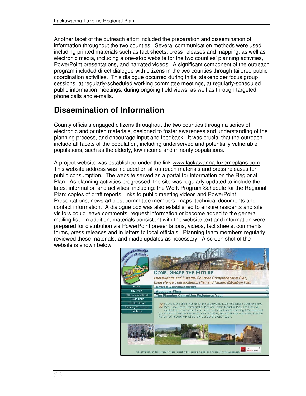Another facet of the outreach effort included the preparation and dissemination of information throughout the two counties. Several communication methods were used, including printed materials such as fact sheets, press releases and mapping, as well as electronic media, including a one-stop website for the two counties' planning activities, PowerPoint presentations, and narrated videos. A significant component of the outreach program included direct dialogue with citizens in the two counties through tailored public coordination activities. This dialogue occurred during initial stakeholder focus group sessions, at regularly-scheduled working committee meetings, at regularly-scheduled public information meetings, during ongoing field views, as well as through targeted phone calls and e-mails.

# **Dissemination of Information**

County officials engaged citizens throughout the two counties through a series of electronic and printed materials, designed to foster awareness and understanding of the planning process, and encourage input and feedback. It was crucial that the outreach include all facets of the population, including underserved and potentially vulnerable populations, such as the elderly, low-income and minority populations.

A project website was established under the link www.lackawanna-luzerneplans.com. This website address was included on all outreach materials and press releases for public consumption. The website served as a portal for information on the Regional Plan. As planning activities progressed, the site was regularly updated to include the latest information and activities, including: the Work Program Schedule for the Regional Plan; copies of draft reports; links to public meeting videos and PowerPoint Presentations; news articles; committee members; maps; technical documents and contact information. A dialogue box was also established to ensure residents and site visitors could leave comments, request information or become added to the general mailing list. In addition, materials consistent with the website text and information were prepared for distribution via PowerPoint presentations, videos, fact sheets, comments forms, press releases and in letters to local officials. Planning team members regularly reviewed these materials, and made updates as necessary. A screen shot of the website is shown below.

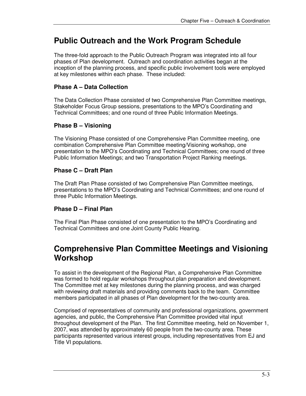#### **Public Outreach and the Work Program Schedule**

The three-fold approach to the Public Outreach Program was integrated into all four phases of Plan development. Outreach and coordination activities began at the inception of the planning process, and specific public involvement tools were employed at key milestones within each phase. These included:

#### **Phase A – Data Collection**

The Data Collection Phase consisted of two Comprehensive Plan Committee meetings, Stakeholder Focus Group sessions, presentations to the MPO's Coordinating and Technical Committees; and one round of three Public Information Meetings.

#### **Phase B – Visioning**

The Visioning Phase consisted of one Comprehensive Plan Committee meeting, one combination Comprehensive Plan Committee meeting/Visioning workshop, one presentation to the MPO's Coordinating and Technical Committees; one round of three Public Information Meetings; and two Transportation Project Ranking meetings.

#### **Phase C – Draft Plan**

The Draft Plan Phase consisted of two Comprehensive Plan Committee meetings, presentations to the MPO's Coordinating and Technical Committees; and one round of three Public Information Meetings.

#### **Phase D – Final Plan**

The Final Plan Phase consisted of one presentation to the MPO's Coordinating and Technical Committees and one Joint County Public Hearing.

#### **Comprehensive Plan Committee Meetings and Visioning Workshop**

To assist in the development of the Regional Plan, a Comprehensive Plan Committee was formed to hold regular workshops throughout plan preparation and development. The Committee met at key milestones during the planning process, and was charged with reviewing draft materials and providing comments back to the team. Committee members participated in all phases of Plan development for the two-county area.

Comprised of representatives of community and professional organizations, government agencies, and public, the Comprehensive Plan Committee provided vital input throughout development of the Plan. The first Committee meeting, held on November 1, 2007, was attended by approximately 60 people from the two-county area. These participants represented various interest groups, including representatives from EJ and Title VI populations.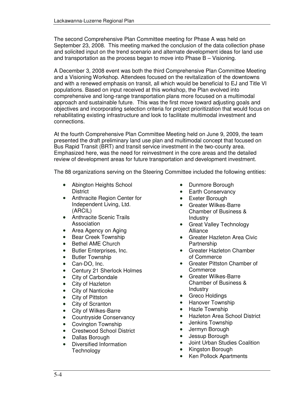The second Comprehensive Plan Committee meeting for Phase A was held on September 23, 2008. This meeting marked the conclusion of the data collection phase and solicited input on the trend scenario and alternate development ideas for land use and transportation as the process began to move into Phase B – Visioning.

A December 3, 2008 event was both the third Comprehensive Plan Committee Meeting and a Visioning Workshop. Attendees focused on the revitalization of the downtowns and with a renewed emphasis on transit, all which would be beneficial to EJ and Title VI populations. Based on input received at this workshop, the Plan evolved into comprehensive and long-range transportation plans more focused on a multimodal approach and sustainable future. This was the first move toward adjusting goals and objectives and incorporating selection criteria for project prioritization that would focus on rehabilitating existing infrastructure and look to facilitate multimodal investment and connections.

At the fourth Comprehensive Plan Committee Meeting held on June 9, 2009, the team presented the draft preliminary land use plan and multimodal concept that focused on Bus Rapid Transit (BRT) and transit service investment in the two-county area. Emphasized here, was the need for reinvestment in the core areas and the detailed review of development areas for future transportation and development investment.

The 88 organizations serving on the Steering Committee included the following entities:

- Abington Heights School **District**
- Anthracite Region Center for Independent Living, Ltd. (ARCIL)
- Anthracite Scenic Trails Association
- Area Agency on Aging
- Bear Creek Township
- Bethel AME Church
- Butler Enterprises, Inc.
- Butler Township
- Can-DO, Inc.
- Century 21 Sherlock Holmes
- City of Carbondale
- City of Hazleton
- City of Nanticoke
- City of Pittston
- City of Scranton
- City of Wilkes-Barre
- Countryside Conservancy
- Covington Township
- Crestwood School District
- Dallas Borough
- Diversified Information **Technology**
- Dunmore Borough
- Earth Conservancy
- Exeter Borough
- Greater Wilkes-Barre Chamber of Business & Industry
- Great Valley Technology Alliance
- Greater Hazleton Area Civic Partnership
- Greater Hazleton Chamber of Commerce
- Greater Pittston Chamber of **Commerce**
- Greater Wilkes-Barre Chamber of Business & Industry
- Greco Holdings
- Hanover Township
- Hazle Township
- Hazleton Area School District
- Jenkins Township
- Jermyn Borough
- Jessup Borough
- Joint Urban Studies Coalition
- Kingston Borough
- Ken Pollock Apartments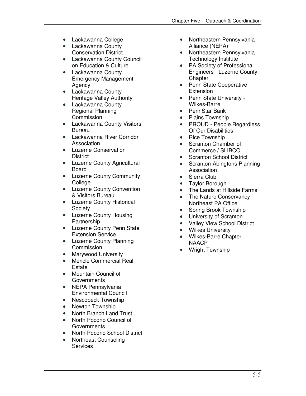- Lackawanna College
- Lackawanna County Conservation District
- Lackawanna County Council on Education & Culture
- Lackawanna County Emergency Management Agency
- Lackawanna County Heritage Valley Authority
- Lackawanna County Regional Planning Commission
- Lackawanna County Visitors Bureau
- Lackawanna River Corridor Association
- Luzerne Conservation **District**
- Luzerne County Agricultural Board
- Luzerne County Community **College**
- Luzerne County Convention & Visitors Bureau
- Luzerne County Historical **Society**
- Luzerne County Housing Partnership
- Luzerne County Penn State Extension Service
- Luzerne County Planning **Commission**
- Marywood University
- Mericle Commercial Real **Estate**
- Mountain Council of **Governments**
- NEPA Pennsylvania Environmental Council
- Nescopeck Township
- Newton Township
- North Branch Land Trust
- North Pocono Council of **Governments**
- North Pocono School District
- Northeast Counseling **Services**
- Northeastern Pennsylvania Alliance (NEPA)
- Northeastern Pennsylvania Technology Institute
- PA Society of Professional Engineers - Luzerne County **Chapter**
- Penn State Cooperative **Extension**
- Penn State University Wilkes-Barre
- PennStar Bank
- Plains Township
- PROUD People Regardless Of Our Disabilities
- Rice Township
- Scranton Chamber of Commerce / SLIBCO
- **Scranton School District**
- Scranton-Abingtons Planning Association
- Sierra Club
- Taylor Borough
- The Lands at Hillside Farms
- The Nature Conservancy Northeast PA Office
- Spring Brook Township
- University of Scranton
- Valley View School District
- Wilkes University
- Wilkes-Barre Chapter NAACP
- Wright Township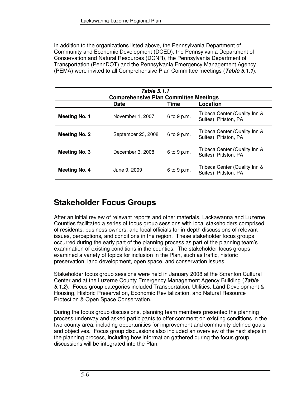In addition to the organizations listed above, the Pennsylvania Department of Community and Economic Development (DCED), the Pennsylvania Department of Conservation and Natural Resources (DCNR), the Pennsylvania Department of Transportation (PennDOT) and the Pennsylvania Emergency Management Agency (PEMA) were invited to all Comprehensive Plan Committee meetings (*Table 5.1.1*).

| Table 5.1.1<br><b>Comprehensive Plan Committee Meetings</b> |                    |             |                                                        |  |  |  |  |
|-------------------------------------------------------------|--------------------|-------------|--------------------------------------------------------|--|--|--|--|
|                                                             | <b>Date</b>        | Time        | Location                                               |  |  |  |  |
| Meeting No. 1                                               | November 1, 2007   | 6 to 9 p.m. | Tribeca Center (Quality Inn &<br>Suites), Pittston, PA |  |  |  |  |
| Meeting No. 2                                               | September 23, 2008 | 6 to 9 p.m. | Tribeca Center (Quality Inn &<br>Suites), Pittston, PA |  |  |  |  |
| <b>Meeting No. 3</b>                                        | December 3, 2008   | 6 to 9 p.m. | Tribeca Center (Quality Inn &<br>Suites), Pittston, PA |  |  |  |  |
| Meeting No. 4                                               | June 9, 2009       | 6 to 9 p.m. | Tribeca Center (Quality Inn &<br>Suites), Pittston, PA |  |  |  |  |

## **Stakeholder Focus Groups**

After an initial review of relevant reports and other materials, Lackawanna and Luzerne Counties facilitated a series of focus group sessions with local stakeholders comprised of residents, business owners, and local officials for in-depth discussions of relevant issues, perceptions, and conditions in the region. These stakeholder focus groups occurred during the early part of the planning process as part of the planning team's examination of existing conditions in the counties. The stakeholder focus groups examined a variety of topics for inclusion in the Plan, such as traffic, historic preservation, land development, open space, and conservation issues.

Stakeholder focus group sessions were held in January 2008 at the Scranton Cultural Center and at the Luzerne County Emergency Management Agency Building (*Table 5.1.2*). Focus group categories included Transportation, Utilities, Land Development & Housing, Historic Preservation, Economic Revitalization, and Natural Resource Protection & Open Space Conservation.

During the focus group discussions, planning team members presented the planning process underway and asked participants to offer comment on existing conditions in the two-county area, including opportunities for improvement and community-defined goals and objectives. Focus group discussions also included an overview of the next steps in the planning process, including how information gathered during the focus group discussions will be integrated into the Plan.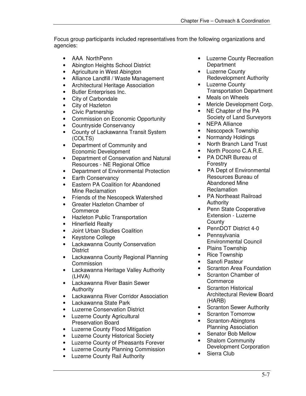Focus group participants included representatives from the following organizations and agencies:

- AAA NorthPenn
- Abington Heights School District
- Agriculture in West Abington
- Alliance Landfill / Waste Management
- Architectural Heritage Association
- Butler Enterprises Inc.
- City of Carbondale
- City of Hazleton
- Civic Partnership
- Commission on Economic Opportunity
- Countryside Conservancy
- County of Lackawanna Transit System (COLTS)
- Department of Community and Economic Development
- Department of Conservation and Natural Resources - NE Regional Office
- Department of Environmental Protection
- Earth Conservancy
- Eastern PA Coalition for Abandoned Mine Reclamation
- Friends of the Nescopeck Watershed
- Greater Hazleton Chamber of Commerce
- Hazleton Public Transportation
- Hinerfield Realty
- Joint Urban Studies Coalition
- Keystone College
- Lackawanna County Conservation **District**
- Lackawanna County Regional Planning **Commission**
- Lackawanna Heritage Valley Authority (LHVA)
- Lackawanna River Basin Sewer Authority
- Lackawanna River Corridor Association
- Lackawanna State Park
- Luzerne Conservation District
- Luzerne County Agricultural Preservation Board
- Luzerne County Flood Mitigation
- Luzerne County Historical Society
- Luzerne County of Pheasants Forever
- Luzerne County Planning Commission
- Luzerne County Rail Authority
- Luzerne County Recreation **Department**
- Luzerne County Redevelopment Authority
- Luzerne County Transportation Department
- Meals on Wheels
- Mericle Development Corp.
- NE Chapter of the PA Society of Land Surveyors
- NEPA Alliance
- Nescopeck Township
- Normandy Holdings
- North Branch Land Trust
- North Pocono C.A.R.E.
- PA DCNR Bureau of Forestry
- PA Dept of Environmental Resources Bureau of Abandoned Mine Reclamation
- PA Northeast Railroad Authority
- Penn State Cooperative Extension - Luzerne **County**
- PennDOT District 4-0
- Pennsylvania Environmental Council
- Plains Township
- Rice Township
- Sanofi Pasteur
- Scranton Area Foundation
- Scranton Chamber of **Commerce**
- Scranton Historical Architectural Review Board (HARB)
- **Scranton Sewer Authority**
- Scranton Tomorrow
- Scranton-Abingtons Planning Association
- Senator Bob Mellow
- Shalom Community Development Corporation
- Sierra Club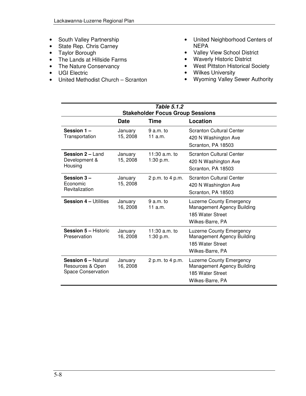- South Valley Partnership
- State Rep. Chris Carney
- Taylor Borough
- The Lands at Hillside Farms
- The Nature Conservancy
- UGI Electric
- United Methodist Church Scranton
- United Neighborhood Centers of NEPA
- Valley View School District
- Waverly Historic District
- West Pittston Historical Society
- Wilkes University
- Wyoming Valley Sewer Authority

| Table 5.1.2                                                                 |                     |                              |                                                                                                       |  |  |  |
|-----------------------------------------------------------------------------|---------------------|------------------------------|-------------------------------------------------------------------------------------------------------|--|--|--|
| <b>Stakeholder Focus Group Sessions</b>                                     |                     |                              |                                                                                                       |  |  |  |
|                                                                             | <b>Date</b>         | Time                         | Location                                                                                              |  |  |  |
| Session 1-<br>Transportation                                                | January<br>15, 2008 | $9a.m.$ to<br>11 a.m.        | <b>Scranton Cultural Center</b><br>420 N Washington Ave<br>Scranton, PA 18503                         |  |  |  |
| <b>Session 2 – Land</b><br>Development &<br>Housing                         | January<br>15, 2008 | 11:30 $a.m.$ to<br>1:30 p.m. | <b>Scranton Cultural Center</b><br>420 N Washington Ave<br>Scranton, PA 18503                         |  |  |  |
| Session 3-<br>Economic<br>Revitalization                                    | January<br>15, 2008 | 2 p.m. to 4 p.m.             | <b>Scranton Cultural Center</b><br>420 N Washington Ave<br>Scranton, PA 18503                         |  |  |  |
| <b>Session 4 - Utilities</b>                                                | January<br>16, 2008 | $9a.m.$ to<br>11 a.m.        | <b>Luzerne County Emergency</b><br>Management Agency Building<br>185 Water Street<br>Wilkes-Barre, PA |  |  |  |
| <b>Session 5 - Historic</b><br>Preservation                                 | January<br>16, 2008 | 11:30 $a.m.$ to<br>1:30 p.m. | <b>Luzerne County Emergency</b><br>Management Agency Building<br>185 Water Street<br>Wilkes-Barre, PA |  |  |  |
| <b>Session 6 - Natural</b><br>Resources & Open<br><b>Space Conservation</b> | January<br>16, 2008 | 2 p.m. to 4 p.m.             | <b>Luzerne County Emergency</b><br>Management Agency Building<br>185 Water Street<br>Wilkes-Barre, PA |  |  |  |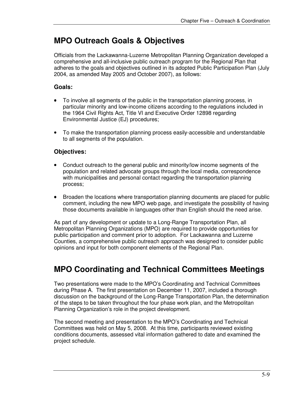#### **MPO Outreach Goals & Objectives**

Officials from the Lackawanna-Luzerne Metropolitan Planning Organization developed a comprehensive and all-inclusive public outreach program for the Regional Plan that adheres to the goals and objectives outlined in its adopted Public Participation Plan (July 2004, as amended May 2005 and October 2007), as follows:

#### **Goals:**

- To involve all segments of the public in the transportation planning process, in particular minority and low-income citizens according to the regulations included in the 1964 Civil Rights Act, Title VI and Executive Order 12898 regarding Environmental Justice (EJ) procedures;
- To make the transportation planning process easily-accessible and understandable to all segments of the population.

#### **Objectives:**

- Conduct outreach to the general public and minority/low income segments of the population and related advocate groups through the local media, correspondence with municipalities and personal contact regarding the transportation planning process;
- Broaden the locations where transportation planning documents are placed for public comment, including the new MPO web page, and investigate the possibility of having those documents available in languages other than English should the need arise.

As part of any development or update to a Long-Range Transportation Plan, all Metropolitan Planning Organizations (MPO) are required to provide opportunities for public participation and comment prior to adoption. For Lackawanna and Luzerne Counties, a comprehensive public outreach approach was designed to consider public opinions and input for both component elements of the Regional Plan.

## **MPO Coordinating and Technical Committees Meetings**

Two presentations were made to the MPO's Coordinating and Technical Committees during Phase A. The first presentation on December 11, 2007, included a thorough discussion on the background of the Long-Range Transportation Plan, the determination of the steps to be taken throughout the four phase work plan, and the Metropolitan Planning Organization's role in the project development.

The second meeting and presentation to the MPO's Coordinating and Technical Committees was held on May 5, 2008. At this time, participants reviewed existing conditions documents, assessed vital information gathered to date and examined the project schedule.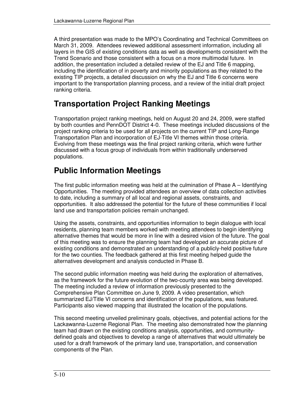A third presentation was made to the MPO's Coordinating and Technical Committees on March 31, 2009. Attendees reviewed additional assessment information, including all layers in the GIS of existing conditions data as well as developments consistent with the Trend Scenario and those consistent with a focus on a more multimodal future. In addition, the presentation included a detailed review of the EJ and Title 6 mapping, including the identification of in poverty and minority populations as they related to the existing TIP projects, a detailed discussion on why the EJ and Title 6 concerns were important to the transportation planning process, and a review of the initial draft project ranking criteria.

## **Transportation Project Ranking Meetings**

Transportation project ranking meetings, held on August 20 and 24, 2009, were staffed by both counties and PennDOT District 4-0. These meetings included discussions of the project ranking criteria to be used for all projects on the current TIP and Long-Range Transportation Plan and incorporation of EJ-Title VI themes within those criteria. Evolving from these meetings was the final project ranking criteria, which were further discussed with a focus group of individuals from within traditionally underserved populations.

# **Public Information Meetings**

The first public information meeting was held at the culmination of Phase A – Identifying Opportunities. The meeting provided attendees an overview of data collection activities to date, including a summary of all local and regional assets, constraints, and opportunities. It also addressed the potential for the future of these communities if local land use and transportation policies remain unchanged.

Using the assets, constraints, and opportunities information to begin dialogue with local residents, planning team members worked with meeting attendees to begin identifying alternative themes that would be more in line with a desired vision of the future. The goal of this meeting was to ensure the planning team had developed an accurate picture of existing conditions and demonstrated an understanding of a publicly-held positive future for the two counties. The feedback gathered at this first meeting helped guide the alternatives development and analysis conducted in Phase B.

The second public information meeting was held during the exploration of alternatives, as the framework for the future evolution of the two-county area was being developed. The meeting included a review of information previously presented to the Comprehensive Plan Committee on June 9, 2009. A video presentation, which summarized EJ/Title VI concerns and identification of the populations, was featured. Participants also viewed mapping that illustrated the location of the populations.

This second meeting unveiled preliminary goals, objectives, and potential actions for the Lackawanna-Luzerne Regional Plan. The meeting also demonstrated how the planning team had drawn on the existing conditions analysis, opportunities, and communitydefined goals and objectives to develop a range of alternatives that would ultimately be used for a draft framework of the primary land use, transportation, and conservation components of the Plan.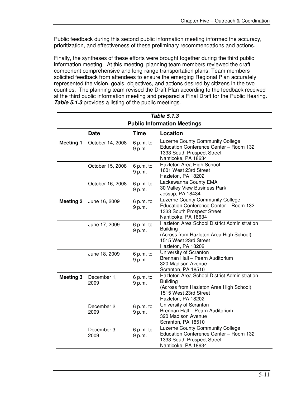Public feedback during this second public information meeting informed the accuracy, prioritization, and effectiveness of these preliminary recommendations and actions.

Finally, the syntheses of these efforts were brought together during the third public information meeting. At this meeting, planning team members reviewed the draft component comprehensive and long-range transportation plans. Team members solicited feedback from attendees to ensure the emerging Regional Plan accurately represented the vision, goals, objectives, and actions desired by citizens in the two counties. The planning team revised the Draft Plan according to the feedback received at the third public information meeting and prepared a Final Draft for the Public Hearing. *Table 5.1.3* provides a listing of the public meetings.

| Table 5.1.3                        |                     |                     |                                                                                                                                                           |  |  |  |
|------------------------------------|---------------------|---------------------|-----------------------------------------------------------------------------------------------------------------------------------------------------------|--|--|--|
| <b>Public Information Meetings</b> |                     |                     |                                                                                                                                                           |  |  |  |
|                                    | <b>Date</b>         | <b>Time</b>         | Location                                                                                                                                                  |  |  |  |
| <b>Meeting 1</b>                   | October 14, 2008    | 6 p.m. to<br>9 p.m. | Luzerne County Community College<br>Education Conference Center - Room 132<br>1333 South Prospect Street<br>Nanticoke, PA 18634                           |  |  |  |
|                                    | October 15, 2008    | 6 p.m. to<br>9 p.m. | Hazleton Area High School<br>1601 West 23rd Street<br>Hazleton, PA 18202                                                                                  |  |  |  |
|                                    | October 16, 2008    | 6 p.m. to<br>9 p.m. | Lackawanna County EMA<br>30 Valley View Business Park<br>Jessup, PA 18434                                                                                 |  |  |  |
| <b>Meeting 2</b>                   | June 16, 2009       | 6 p.m. to<br>9 p.m. | Luzerne County Community College<br>Education Conference Center - Room 132<br>1333 South Prospect Street<br>Nanticoke, PA 18634                           |  |  |  |
|                                    | June 17, 2009       | 6 p.m. to<br>9 p.m. | Hazleton Area School District Administration<br><b>Building</b><br>(Across from Hazleton Area High School)<br>1515 West 23rd Street<br>Hazleton, PA 18202 |  |  |  |
|                                    | June 18, 2009       | 6 p.m. to<br>9 p.m. | University of Scranton<br>Brennan Hall - Pearn Auditorium<br>320 Madison Avenue<br>Scranton, PA 18510                                                     |  |  |  |
| <b>Meeting 3</b>                   | December 1,<br>2009 | 6 p.m. to<br>9 p.m. | Hazleton Area School District Administration<br><b>Building</b><br>(Across from Hazleton Area High School)<br>1515 West 23rd Street<br>Hazleton, PA 18202 |  |  |  |
|                                    | December 2,<br>2009 | 6 p.m. to<br>9 p.m. | University of Scranton<br>Brennan Hall - Pearn Auditorium<br>320 Madison Avenue<br>Scranton, PA 18510                                                     |  |  |  |
|                                    | December 3,<br>2009 | 6 p.m. to<br>9 p.m. | Luzerne County Community College<br>Education Conference Center - Room 132<br>1333 South Prospect Street<br>Nanticoke, PA 18634                           |  |  |  |